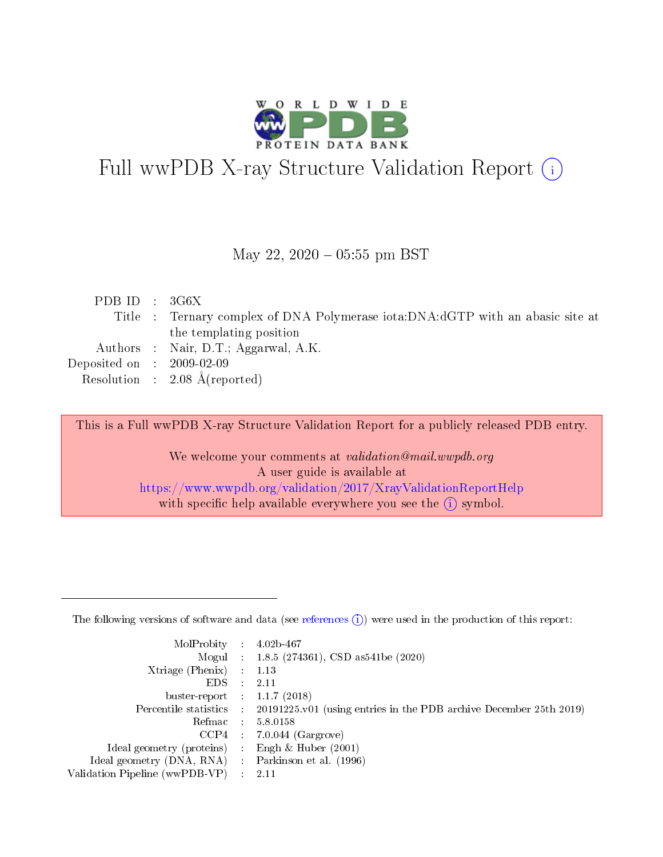

# Full wwPDB X-ray Structure Validation Report (i)

#### May 22,  $2020 - 05:55$  pm BST

| PDB ID : $3G6X$ |                                                                                |
|-----------------|--------------------------------------------------------------------------------|
|                 | Title : Ternary complex of DNA Polymerase iota:DNA:dGTP with an abasic site at |
|                 | the templating position                                                        |
|                 | Authors : Nair, D.T.; Aggarwal, A.K.                                           |
|                 | Deposited on : $2009-02-09$                                                    |
|                 | Resolution : $2.08 \text{ Å}$ (reported)                                       |

This is a Full wwPDB X-ray Structure Validation Report for a publicly released PDB entry.

We welcome your comments at validation@mail.wwpdb.org A user guide is available at <https://www.wwpdb.org/validation/2017/XrayValidationReportHelp> with specific help available everywhere you see the  $(i)$  symbol.

The following versions of software and data (see [references](https://www.wwpdb.org/validation/2017/XrayValidationReportHelp#references)  $(1)$ ) were used in the production of this report:

| MolProbity                     | $\mathcal{L}_{\rm{max}}$ | $4.02b - 467$                                                                |
|--------------------------------|--------------------------|------------------------------------------------------------------------------|
|                                |                          | Mogul : $1.8.5$ (274361), CSD as 541be (2020)                                |
| $X$ triage (Phenix) :          |                          | 1.13                                                                         |
| EDS.                           |                          | 2.11                                                                         |
| buster-report : $1.1.7$ (2018) |                          |                                                                              |
| Percentile statistics :        |                          | $20191225 \text{ v}01$ (using entries in the PDB archive December 25th 2019) |
| Refmac                         |                          | 5.8.0158                                                                     |
| $CCP4$ :                       |                          | $7.0.044$ (Gargrove)                                                         |
| Ideal geometry (proteins) :    |                          | Engh $\&$ Huber (2001)                                                       |
| Ideal geometry (DNA, RNA) :    |                          | Parkinson et al. (1996)                                                      |
| Validation Pipeline (wwPDB-VP) | $\mathcal{L}$            | -2.11                                                                        |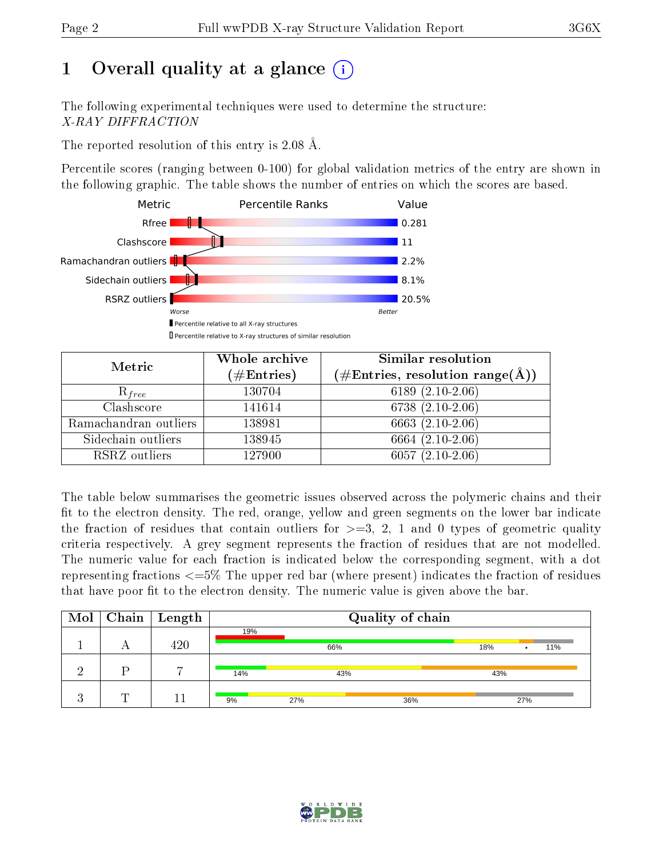# 1 [O](https://www.wwpdb.org/validation/2017/XrayValidationReportHelp#overall_quality)verall quality at a glance  $(i)$

The following experimental techniques were used to determine the structure: X-RAY DIFFRACTION

The reported resolution of this entry is 2.08 Å.

Percentile scores (ranging between 0-100) for global validation metrics of the entry are shown in the following graphic. The table shows the number of entries on which the scores are based.



| Metric                | Whole archive<br>$(\#\text{Entries})$ | Similar resolution<br>$(\#\text{Entries}, \text{resolution range}(\text{\AA}))$ |
|-----------------------|---------------------------------------|---------------------------------------------------------------------------------|
| $R_{free}$            | 130704                                | 6189 $(2.10-2.06)$                                                              |
| Clashscore            | 141614                                | $6738(2.10-2.06)$                                                               |
| Ramachandran outliers | 138981                                | 6663 (2.10-2.06)                                                                |
| Sidechain outliers    | 138945                                | $6664$ $(2.10-2.06)$                                                            |
| RSRZ outliers         | 127900                                | $6057(2.10-2.06)$                                                               |

The table below summarises the geometric issues observed across the polymeric chains and their fit to the electron density. The red, orange, yellow and green segments on the lower bar indicate the fraction of residues that contain outliers for  $>=3, 2, 1$  and 0 types of geometric quality criteria respectively. A grey segment represents the fraction of residues that are not modelled. The numeric value for each fraction is indicated below the corresponding segment, with a dot representing fractions  $\epsilon=5\%$  The upper red bar (where present) indicates the fraction of residues that have poor fit to the electron density. The numeric value is given above the bar.

|   | $\boxed{\text{Mol}}$ Chain   Length | Quality of chain |     |     |     |     |     |
|---|-------------------------------------|------------------|-----|-----|-----|-----|-----|
|   |                                     | 19%              |     |     |     |     |     |
|   | 420                                 |                  | 66% |     | 18% |     | 11% |
|   |                                     |                  |     |     |     |     |     |
|   |                                     | 14%              | 43% |     | 43% |     |     |
|   |                                     |                  |     |     |     |     |     |
| m |                                     | 9%               | 27% | 36% |     | 27% |     |

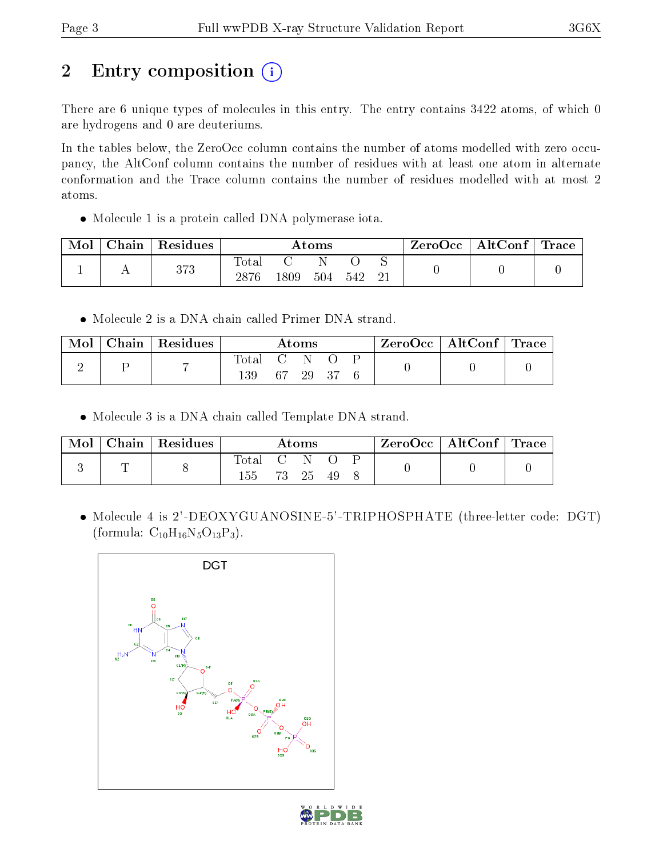# 2 Entry composition (i)

There are 6 unique types of molecules in this entry. The entry contains 3422 atoms, of which 0 are hydrogens and 0 are deuteriums.

In the tables below, the ZeroOcc column contains the number of atoms modelled with zero occupancy, the AltConf column contains the number of residues with at least one atom in alternate conformation and the Trace column contains the number of residues modelled with at most 2 atoms.

Molecule 1 is a protein called DNA polymerase iota.

| Mol | $\pm$ Chain $^+$ | $\mathsf{Residues}$ | Atoms               |      |     |     | ZeroOcc∣ | $\mid$ AltConf $\mid$ Trace |  |  |
|-----|------------------|---------------------|---------------------|------|-----|-----|----------|-----------------------------|--|--|
|     |                  | 373                 | $\rm Total$<br>2876 | 1809 | 504 | 542 |          |                             |  |  |

Molecule 2 is a DNA chain called Primer DNA strand.

| Mol | Chain   Residues |                  | $\rm{Atoms}$ |  | $\text{ZeroOcc} \mid \text{AltConf} \mid \text{Trace}$ |  |
|-----|------------------|------------------|--------------|--|--------------------------------------------------------|--|
|     |                  | Total C N<br>139 | 67 29 37     |  |                                                        |  |

Molecule 3 is a DNA chain called Template DNA strand.

| Mol | $C$ hain   Residues | Atoms              |  |          | $ZeroOcc \mid AltConf \mid Trace$ |  |  |  |
|-----|---------------------|--------------------|--|----------|-----------------------------------|--|--|--|
|     |                     | Total C N O<br>155 |  | 73 25 49 |                                   |  |  |  |

 Molecule 4 is 2'-DEOXYGUANOSINE-5'-TRIPHOSPHATE (three-letter code: DGT) (formula:  $C_{10}H_{16}N_5O_{13}P_3$ ).



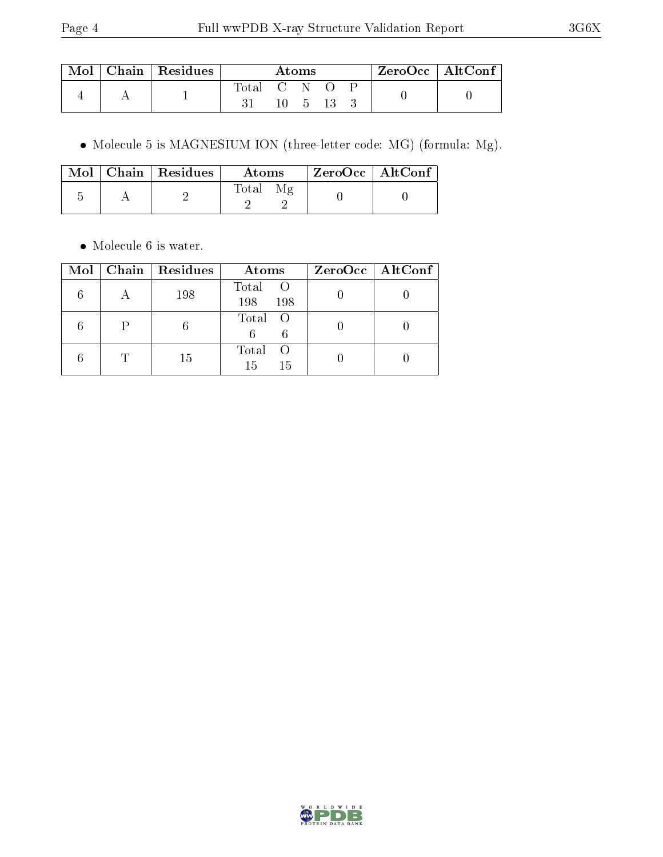| Mol | $Chain$ Residues | Atoms       |  |                       |  | $ZeroOcc$   AltConf |  |  |
|-----|------------------|-------------|--|-----------------------|--|---------------------|--|--|
|     |                  | Total C N O |  | $10 \quad 5 \quad 13$ |  |                     |  |  |

Molecule 5 is MAGNESIUM ION (three-letter code: MG) (formula: Mg).

|  | $\boxed{\text{Mol}}$ Chain   Residues | Atoms | $ZeroOcc$   AltConf |  |
|--|---------------------------------------|-------|---------------------|--|
|  |                                       | Total |                     |  |

• Molecule 6 is water.

|  | Mol   Chain   Residues | Atoms                            | $ZeroOcc \   \ AltConf \  $ |
|--|------------------------|----------------------------------|-----------------------------|
|  | 198                    | Total<br>$\circ$ O<br>198<br>198 |                             |
|  |                        | Total O                          |                             |
|  | 15                     | Total<br>- ( )<br>15<br>15       |                             |

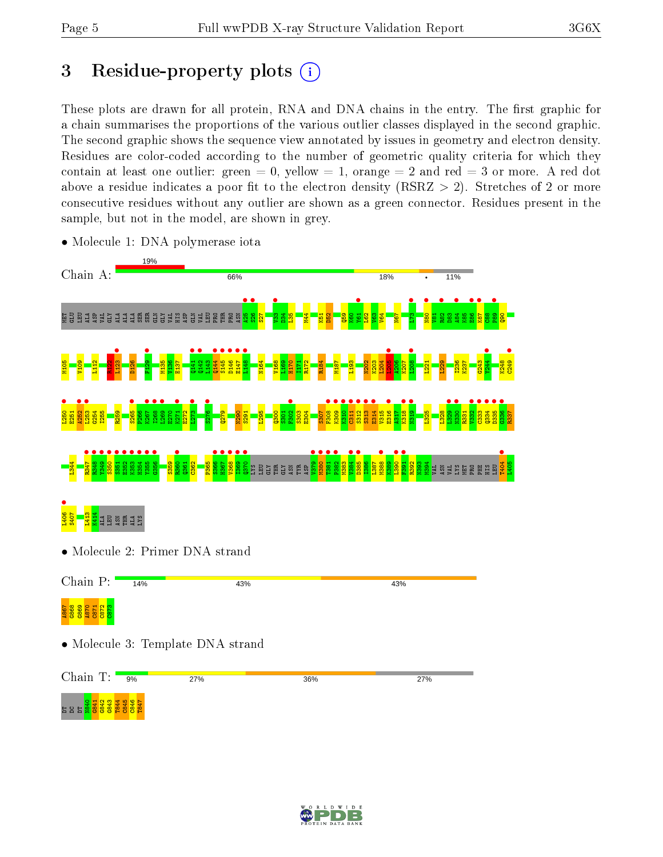# 3 Residue-property plots  $(i)$

These plots are drawn for all protein, RNA and DNA chains in the entry. The first graphic for a chain summarises the proportions of the various outlier classes displayed in the second graphic. The second graphic shows the sequence view annotated by issues in geometry and electron density. Residues are color-coded according to the number of geometric quality criteria for which they contain at least one outlier: green  $= 0$ , yellow  $= 1$ , orange  $= 2$  and red  $= 3$  or more. A red dot above a residue indicates a poor fit to the electron density (RSRZ  $> 2$ ). Stretches of 2 or more consecutive residues without any outlier are shown as a green connector. Residues present in the sample, but not in the model, are shown in grey.



• Molecule 1: DNA polymerase iota

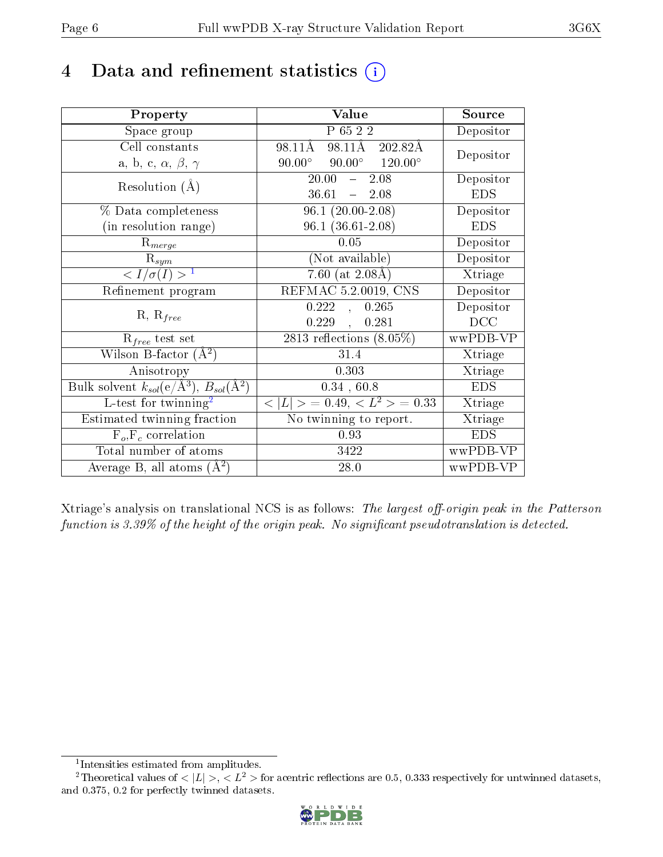# 4 Data and refinement statistics  $(i)$

| Property                                                             | Value                                            | Source     |
|----------------------------------------------------------------------|--------------------------------------------------|------------|
| Space group                                                          | P 65 2 2                                         | Depositor  |
| Cell constants                                                       | 98.11Å 202.82Å<br>98.11Å                         | Depositor  |
| a, b, c, $\alpha$ , $\beta$ , $\gamma$                               | $90.00^{\circ}$ $90.00^{\circ}$ $120.00^{\circ}$ |            |
| Resolution $(A)$                                                     | 20.00<br>$-2.08$                                 | Depositor  |
|                                                                      | $36.61 - 2.08$                                   | <b>EDS</b> |
| % Data completeness                                                  | $96.1(20.00-2.08)$                               | Depositor  |
| (in resolution range)                                                | $96.1(36.61-2.08)$                               | <b>EDS</b> |
| $R_{merge}$                                                          | 0.05                                             | Depositor  |
| $\mathrm{R}_{sym}$                                                   | (Not available)                                  | Depositor  |
| $\sqrt{I/\sigma}(I) > 1$                                             | 7.60 (at $2.08\text{\AA}$ )                      | Xtriage    |
| Refinement program                                                   | REFMAC 5.2.0019, CNS                             | Depositor  |
|                                                                      | 0.222<br>0.265<br>$\overline{\phantom{a}}$       | Depositor  |
| $R, R_{free}$                                                        | 0.229,<br>0.281                                  | DCC        |
| $R_{free}$ test set                                                  | 2813 reflections $(8.05\%)$                      | wwPDB-VP   |
| Wilson B-factor $(A^2)$                                              | $31.4\,$                                         | Xtriage    |
| Anisotropy                                                           | 0.303                                            | Xtriage    |
| Bulk solvent $k_{sol}(e/\mathring{A}^3)$ , $B_{sol}(\mathring{A}^2)$ | $0.34$ , $60.8$                                  | <b>EDS</b> |
| L-test for twinning <sup>2</sup>                                     | $< L >$ = 0.49, $< L2$ = 0.33                    | Xtriage    |
| Estimated twinning fraction                                          | No twinning to report.                           | Xtriage    |
| $F_o, F_c$ correlation                                               | 0.93                                             | <b>EDS</b> |
| Total number of atoms                                                | 3422                                             | wwPDB-VP   |
| Average B, all atoms $(A^2)$                                         | 28.0                                             | wwPDB-VP   |

Xtriage's analysis on translational NCS is as follows: The largest off-origin peak in the Patterson function is  $3.39\%$  of the height of the origin peak. No significant pseudotranslation is detected.

<sup>&</sup>lt;sup>2</sup>Theoretical values of  $\langle |L| \rangle$ ,  $\langle L^2 \rangle$  for acentric reflections are 0.5, 0.333 respectively for untwinned datasets, and 0.375, 0.2 for perfectly twinned datasets.



<span id="page-5-1"></span><span id="page-5-0"></span><sup>1</sup> Intensities estimated from amplitudes.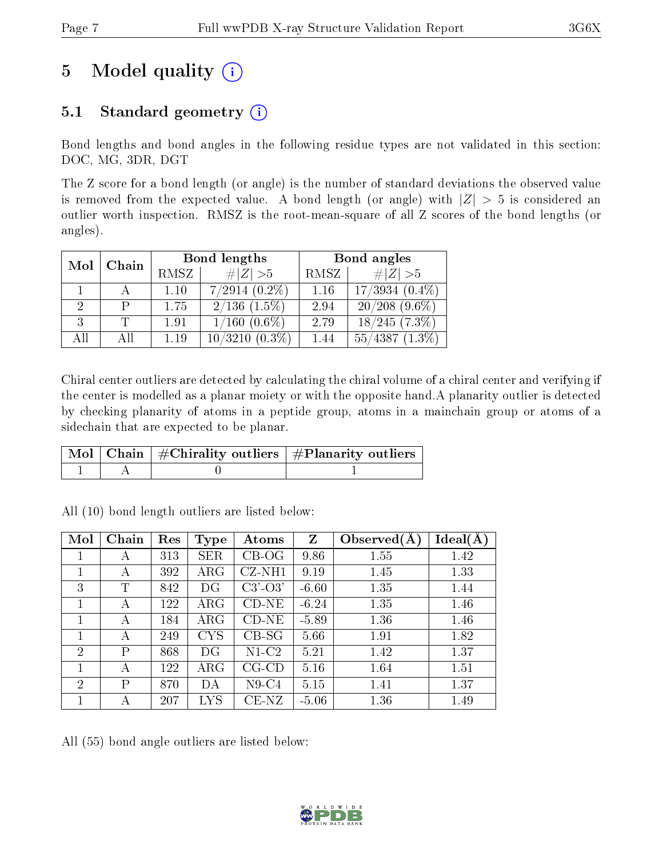# 5 Model quality  $(i)$

### 5.1 Standard geometry  $(i)$

Bond lengths and bond angles in the following residue types are not validated in this section: DOC, MG, 3DR, DGT

The Z score for a bond length (or angle) is the number of standard deviations the observed value is removed from the expected value. A bond length (or angle) with  $|Z| > 5$  is considered an outlier worth inspection. RMSZ is the root-mean-square of all Z scores of the bond lengths (or angles).

| Mol | Chain |      | Bond lengths         | Bond angles |                      |  |
|-----|-------|------|----------------------|-------------|----------------------|--|
|     |       | RMSZ | # $ Z >5$            | RMSZ        | # $ Z >5$            |  |
|     |       | 1.10 | $7/2914$ $(0.2\%)$   | 1.16        | $17/3934(0.4\%)$     |  |
|     |       | 1.75 | $2/136$ $(1.5\%)$    | 2.94        | $20/208$ (9.6\%)     |  |
| 3   |       | 1.91 | $1/160(0.6\%)$       | 2.79        | $18/245(7.3\%)$      |  |
| All | Аll   | 1.19 | 10/3210<br>$(0.3\%)$ | 1.44        | 55/4387<br>$(1.3\%)$ |  |

Chiral center outliers are detected by calculating the chiral volume of a chiral center and verifying if the center is modelled as a planar moiety or with the opposite hand.A planarity outlier is detected by checking planarity of atoms in a peptide group, atoms in a mainchain group or atoms of a sidechain that are expected to be planar.

|  | $\lceil \, \text{Mol} \, \rceil$ Chain $\mid \# \text{Chirality outliers} \mid \# \text{Planarity outliers} \mid$ |
|--|-------------------------------------------------------------------------------------------------------------------|
|  |                                                                                                                   |

| Mol            | Chain | Res | <b>Type</b> | Atoms       | Z       | Observed $(A)$ | Ideal(A) |
|----------------|-------|-----|-------------|-------------|---------|----------------|----------|
| 1              | А     | 313 | <b>SER</b>  | $CB-OG$     | 9.86    | 1.55           | 1.42     |
|                | А     | 392 | $\rm{ARG}$  | $CZ-NH1$    | 9.19    | 1.45           | 1.33     |
| 3              | T     | 842 | DG          | $C3'-O3'$   | $-6.60$ | 1.35           | 1.44     |
|                | А     | 122 | $\rm{ARG}$  | $CD-NE$     | $-6.24$ | 1.35           | 1.46     |
| 1              | А     | 184 | $\rm{ARG}$  | $CD-NE$     | $-5.89$ | 1.36           | 1.46     |
| 1              | А     | 249 | <b>CYS</b>  | $CB-SG$     | 5.66    | 1.91           | 1.82     |
| $\overline{2}$ | Ρ     | 868 | DG          | $N1-C2$     | 5.21    | 1.42           | 1.37     |
|                | А     | 122 | $\rm{ARG}$  | $CG$ - $CD$ | 5.16    | 1.64           | 1.51     |
| $\overline{2}$ | Ρ     | 870 | DА          | $N9-C4$     | 5.15    | 1.41           | 1.37     |
|                | А     | 207 | <b>LYS</b>  | $CE-NZ$     | $-5.06$ | 1.36           | 1.49     |

All (10) bond length outliers are listed below:

All (55) bond angle outliers are listed below:

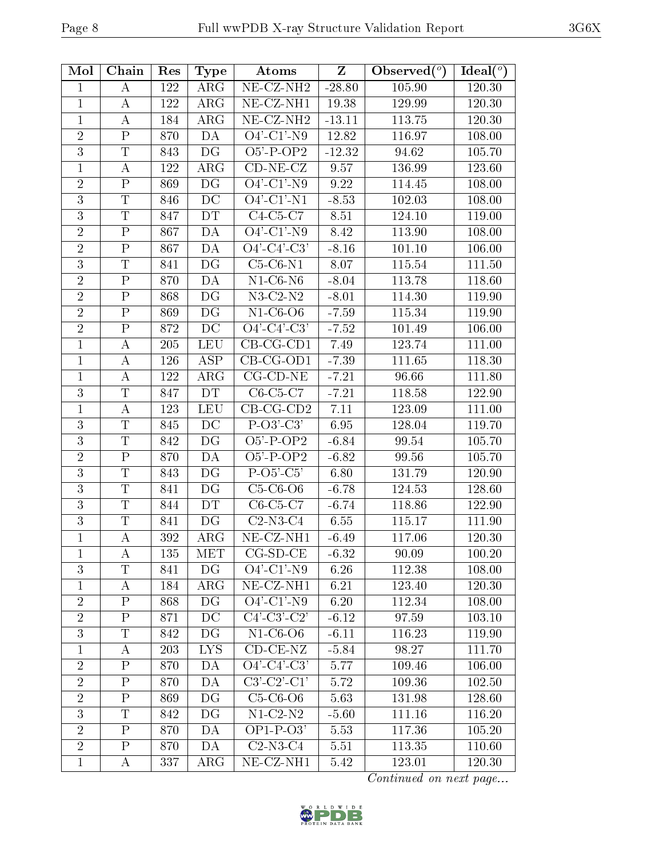| Mol            | Chain                     | Res | <b>Type</b>                       | Atoms                                           | Z        | Observed $(°)$ | Ideal $(°)$ |
|----------------|---------------------------|-----|-----------------------------------|-------------------------------------------------|----------|----------------|-------------|
| 1              | A                         | 122 | $\rm{ARG}$                        | $\overline{\text{NE- CZ-}N\text{H2}}$           | $-28.80$ | 105.90         | 120.30      |
| $\mathbf{1}$   | А                         | 122 | ARG                               | NE-CZ-NH1                                       | 19.38    | 129.99         | 120.30      |
| $\mathbf{1}$   | А                         | 184 | $\rm{ARG}$                        | $\overline{\text{NE}}$ -CZ-NH <sub>2</sub>      | $-13.11$ | 113.75         | 120.30      |
| $\overline{2}$ | $\overline{\mathrm{P}}$   | 870 | DA                                | $O4'-C1'-N9$                                    | 12.82    | 116.97         | 108.00      |
| 3              | $\mathbf T$               | 843 | DG                                | $O5'$ -P-OP2                                    | $-12.32$ | 94.62          | 105.70      |
| $\mathbf{1}$   | А                         | 122 | $\rm{ARG}$                        | $CD-NE- CZ$                                     | 9.57     | 136.99         | 123.60      |
| $\overline{2}$ | $\mathbf P$               | 869 | $\overline{\mathrm{D}\mathrm{G}}$ | $O4'-C1'-N9$                                    | 9.22     | 114.45         | 108.00      |
| $\overline{3}$ | $\mathbf T$               | 846 | $\rm DC$                          | $\overline{O4'-C1'-N1}$                         | $-8.53$  | 102.03         | 108.00      |
| $\overline{3}$ | T                         | 847 | DT                                | $C4-C5-C7$                                      | 8.51     | 124.10         | 119.00      |
| $\overline{2}$ | ${\bf P}$                 | 867 | DA                                | $O4'-C1'-N9$                                    | 8.42     | 113.90         | 108.00      |
| $\overline{2}$ | ${\bf P}$                 | 867 | DA                                | $O4' - C4' - C3'$                               | $-8.16$  | 101.10         | 106.00      |
| 3              | T                         | 841 | DG                                | $C5-C6-N1$                                      | 8.07     | 115.54         | 111.50      |
| $\overline{2}$ | ${\bf P}$                 | 870 | DA                                | $N1-C6-N6$                                      | $-8.04$  | 113.78         | 118.60      |
| $\overline{2}$ | $\overline{P}$            | 868 | DG                                | $N3-C2-N2$                                      | $-8.01$  | 114.30         | 119.90      |
| $\overline{2}$ | ${\bf P}$                 | 869 | DG                                | $N1-C6-O6$                                      | $-7.59$  | 115.34         | 119.90      |
| $\overline{2}$ | $\overline{\mathrm{P}}$   | 872 | DC                                | $\overline{O4' - C4' - C3'}$                    | $-7.52$  | 101.49         | 106.00      |
| $\mathbf{1}$   | А                         | 205 | <b>LEU</b>                        | $CB-CG-CD1$                                     | 7.49     | 123.74         | 111.00      |
| $\mathbf{1}$   | А                         | 126 | $\overline{\text{ASP}}$           | $CB-CG-OD1$                                     | $-7.39$  | 111.65         | 118.30      |
| $\mathbf 1$    | А                         | 122 | $\rm{ARG}$                        | $CG$ - $CD$ - $NE$                              | $-7.21$  | 96.66          | 111.80      |
| 3              | T                         | 847 | DT                                | $C6-C5-C7$                                      | $-7.21$  | 118.58         | 122.90      |
| $\mathbf{1}$   | А                         | 123 | <b>LEU</b>                        | $CB-CG-CD2$                                     | 7.11     | 123.09         | 111.00      |
| 3              | $\mathbf T$               | 845 | DC                                | $P-O3'-C3'$                                     | 6.95     | 128.04         | 119.70      |
| $\overline{3}$ | $\overline{T}$            | 842 | DG                                | $O5'$ -P-OP2                                    | $-6.84$  | 99.54          | 105.70      |
| $\overline{2}$ | ${\bf P}$                 | 870 | DA                                | $\overline{O5}$ <sup>2</sup> -P-OP <sub>2</sub> | $-6.82$  | 99.56          | 105.70      |
| $\overline{3}$ | $\mathbf T$               | 843 | DG                                | $P-O5'-C5'$                                     | 6.80     | 131.79         | 120.90      |
| 3              | $\mathbf T$               | 841 | $\overline{\mathrm{DG}}$          | $C5-C6-O6$                                      | $-6.78$  | 124.53         | 128.60      |
| 3              | $\mathbf T$               | 844 | <b>DT</b>                         | $C6-C5-C7$                                      | $-6.74$  | 118.86         | 122.90      |
| $\overline{3}$ | $\overline{T}$            | 841 | DG                                | $C2-N3-C4$                                      | 6.55     | 115.17         | 111.90      |
| $\mathbf{1}$   | $\boldsymbol{A}$          | 392 | $\rm{ARG}$                        | NE-CZ-NH1                                       | $-6.49$  | 117.06         | 120.30      |
| 1              | А                         | 135 | MET                               | $CG-SD-CE$                                      | $-6.32$  | 90.09          | 100.20      |
| $\overline{3}$ | T                         | 841 | DG                                | $O4'-C1'-N9$                                    | 6.26     | 112.38         | 108.00      |
| $\mathbf 1$    | А                         | 184 | $\rm{ARG}$                        | NE-CZ-NH1                                       | 6.21     | 123.40         | 120.30      |
| $\overline{2}$ | $\overline{P}$            | 868 | $\overline{\mathrm{DG}}$          | $O4'$ -C1'-N9                                   | 6.20     | 112.34         | 108.00      |
| $\overline{2}$ | $\boldsymbol{\mathrm{P}}$ | 871 | DC                                | $C4'$ -C3'-C2'                                  | $-6.12$  | 97.59          | 103.10      |
| 3              | T                         | 842 | DG                                | $N1-C6-O6$                                      | $-6.11$  | 116.23         | 119.90      |
| 1              | А                         | 203 | <b>LYS</b>                        | $CD$ - $CE$ - $NZ$                              | $-5.84$  | 98.27          | 111.70      |
| $\overline{2}$ | ${\bf P}$                 | 870 | <b>DA</b>                         | $O4'$ -C4'-C3'                                  | 5.77     | 109.46         | 106.00      |
| $\overline{2}$ | ${\bf P}$                 | 870 | DA                                | $C3'-C2'-C1'$                                   | 5.72     | 109.36         | 102.50      |
| $\overline{2}$ | $\mathbf P$               | 869 | DG                                | $C5-C6-O6$                                      | 5.63     | 131.98         | 128.60      |
| $\overline{3}$ | T                         | 842 | DG                                | $N1-C2-N2$                                      | $-5.60$  | 111.16         | 116.20      |
| $\overline{2}$ | $\rm P$                   | 870 | DA                                | $OP1-P-O3'$                                     | 5.53     | 117.36         | 105.20      |
| $\overline{2}$ | ${\bf P}$                 | 870 | DA                                | $C2-N3-C4$                                      | 5.51     | 113.35         | 110.60      |
| $\mathbf 1$    | А                         | 337 | $\rm{ARG}$                        | NE-CZ-NH1                                       | 5.42     | 123.01         | 120.30      |

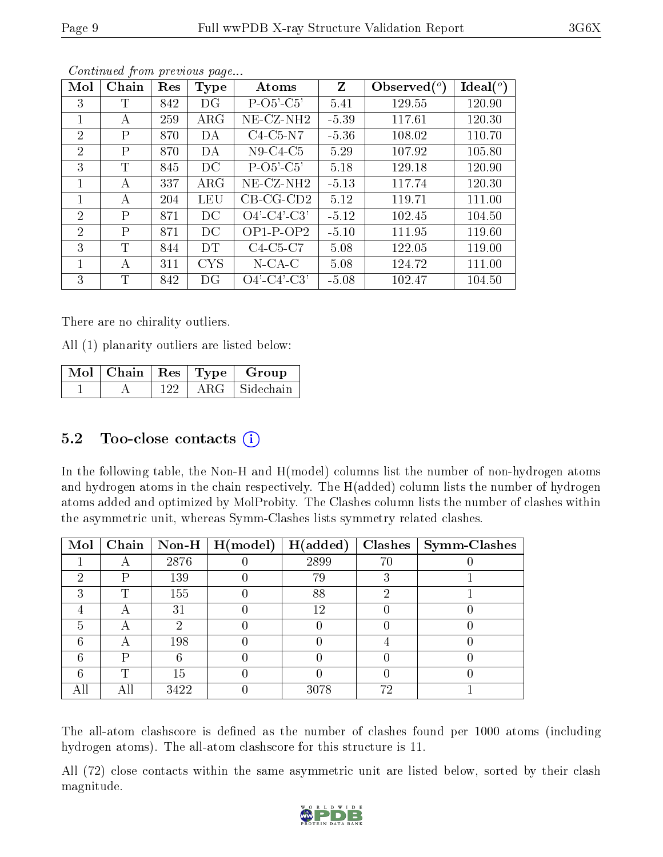| Mol            | Chain        | Res | Type       | Atoms                                          | Z       | Observed $(°)$ | Ideal(°) |
|----------------|--------------|-----|------------|------------------------------------------------|---------|----------------|----------|
| 3              | T            | 842 | DG         | $P-O5'-C5'$                                    | 5.41    | 129.55         | 120.90   |
| 1              | А            | 259 | $\rm{ARG}$ | $NE$ -CZ-NH2                                   | $-5.39$ | 117.61         | 120.30   |
| $\overline{2}$ | P            | 870 | DA         | $C4-C5-N7$                                     | $-5.36$ | 108.02         | 110.70   |
| $\overline{2}$ | Ρ            | 870 | DA         | N <sub>9</sub> -C <sub>4</sub> -C <sub>5</sub> | 5.29    | 107.92         | 105.80   |
| 3              | T            | 845 | DC         | $P-O5'-C5'$                                    | 5.18    | 129.18         | 120.90   |
|                | А            | 337 | $\rm{ARG}$ | NE-CZ-NH <sub>2</sub>                          | $-5.13$ | 117.74         | 120.30   |
| 1              | A            | 204 | LEU        | $CB-CG-CD2$                                    | 5.12    | 119.71         | 111.00   |
| 2              | P            | 871 | DC         | $O4'$ -C4'-C3'                                 | $-5.12$ | 102.45         | 104.50   |
| $\overline{2}$ | $\mathbf{P}$ | 871 | DC         | $OP1-POP2$                                     | $-5.10$ | 111.95         | 119.60   |
| 3              | T            | 844 | <b>DT</b>  | $C4-C5-C7$                                     | 5.08    | 122.05         | 119.00   |
| 1              | А            | 311 | <b>CYS</b> | $N$ -CA-C                                      | 5.08    | 124.72         | 111.00   |
| 3              | T            | 842 | DG         | $O4'$ -C4'-C3'                                 | $-5.08$ | 102.47         | 104.50   |

There are no chirality outliers.

All (1) planarity outliers are listed below:

|  |     |            | $\lceil \overline{\text{Mol}} \rceil$ Chain   Res   Type   Group |
|--|-----|------------|------------------------------------------------------------------|
|  | 122 | $\rm{ARG}$ | Sidechain                                                        |

### 5.2 Too-close contacts (i)

In the following table, the Non-H and H(model) columns list the number of non-hydrogen atoms and hydrogen atoms in the chain respectively. The H(added) column lists the number of hydrogen atoms added and optimized by MolProbity. The Clashes column lists the number of clashes within the asymmetric unit, whereas Symm-Clashes lists symmetry related clashes.

| $\bf{Mol}$ |   |      | Chain   Non-H   $H (model)$ | H(added) |    | $Clashes$   Symm-Clashes |
|------------|---|------|-----------------------------|----------|----|--------------------------|
|            |   | 2876 |                             | 2899     | 70 |                          |
| റ          |   | 139  |                             | 79       |    |                          |
| 3          |   | 155  |                             | 88       |    |                          |
|            |   | 31   |                             | 12       |    |                          |
|            |   |      |                             |          |    |                          |
|            |   | 198  |                             |          |    |                          |
|            |   |      |                             |          |    |                          |
|            | m | 15   |                             |          |    |                          |
| All        |   | 3422 |                             | 3078     | 79 |                          |

The all-atom clashscore is defined as the number of clashes found per 1000 atoms (including hydrogen atoms). The all-atom clashscore for this structure is 11.

All (72) close contacts within the same asymmetric unit are listed below, sorted by their clash magnitude.

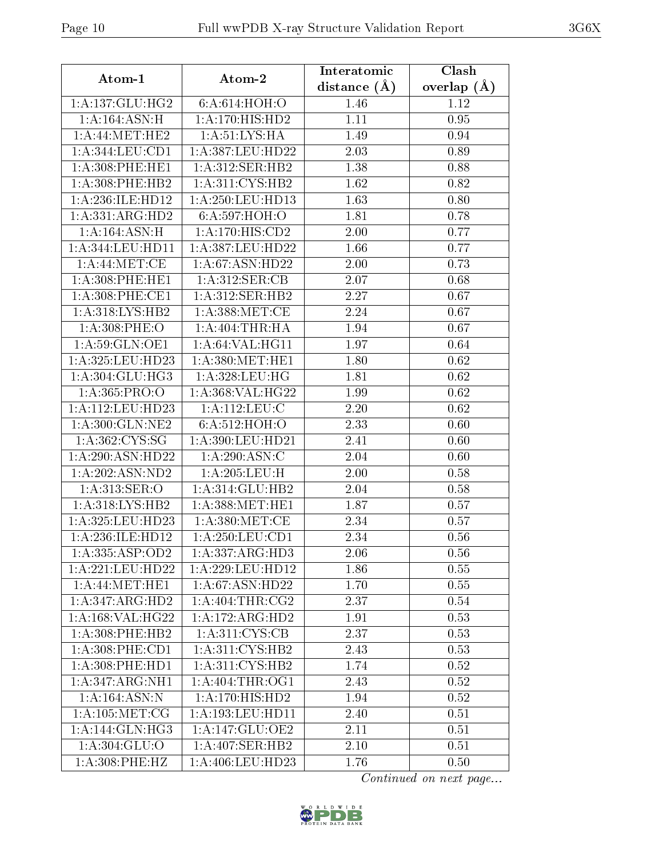| Atom-1                       | Atom-2                                   | Interatomic    | Clash         |
|------------------------------|------------------------------------------|----------------|---------------|
|                              |                                          | distance $(A)$ | overlap $(A)$ |
| 1: A: 137: GLU: HG2          | 6: A:614: HOH:O                          | 1.46           | 1.12          |
| 1: A:164: ASN:H              | 1:A:170:HIS:HD2                          | 1.11           | 0.95          |
| 1: A:44: MET:HE2             | 1: A:51: LYS: HA                         | 1.49           | 0.94          |
| 1: A: 344: LEU: CD1          | 1:A:387:LEU:HD22                         | 2.03           | 0.89          |
| 1: A:308: PHE:HE1            | 1: A:312: SER: HB2                       | 1.38           | 0.88          |
| 1:A:308:PHE:HB2              | 1:A:311:CYS:HB2                          | 1.62           | 0.82          |
| 1:A:236:ILE:HD12             | 1: A:250:LEU:HD13                        | 1.63           | 0.80          |
| 1:A:331:ARG:HD2              | 6:A:597:HOH:O                            | 1.81           | 0.78          |
| 1: A:164: ASN:H              | 1: A: 170: HIS: CD2                      | 2.00           | 0.77          |
| 1: A:344: LEU: HD11          | 1:A:387:LEU:HD22                         | 1.66           | 0.77          |
| 1: A:44: MET:CE              | 1: A:67: ASN:HD22                        | 2.00           | 0.73          |
| 1: A:308: PHE:HE1            | 1:A:312:SER:CB                           | 2.07           | 0.68          |
| 1: A:308: PHE:CE1            | 1: A:312: SER: HB2                       | 2.27           | 0.67          |
| 1:A:318:LYS:HB2              | 1: A:388: MET:CE                         | 2.24           | 0.67          |
| 1: A:308: PHE:O              | 1: A:404:THR:HA                          | 1.94           | 0.67          |
| 1:A:59:GLN:OE1               | 1: A:64:VAL:HG11                         | 1.97           | 0.64          |
| 1:A:325:LEU:HD23             | 1: A:380:MET:HE1                         | 1.80           | 0.62          |
| 1: A:304: GLU:HG3            | 1:A:328:LEU:HG                           | 1.81           | 0.62          |
| 1: A: 365: PRO:O             | 1:A:368:VAL:HG22                         | 1.99           | 0.62          |
| 1:A:112:LEU:HD23             | 1: A:112: LEU: C                         | 2.20           | 0.62          |
| 1:A:300:GLN:NE2              | 6:A:512:HOH:O                            | 2.33           | 0.60          |
| 1:A:362:CYS:SG               | 1:A:390:LEU:HD21                         | 2.41           | 0.60          |
| 1:A:290:ASN:HD22             | 1: A:290:ASN:C                           | 2.04           | 0.60          |
| 1:A:202:ASN:ND2              | 1:A:205:LEU:H                            | 2.00           | 0.58          |
| 1: A:313: SER:O              | 1:A:314:GLU:HB2                          | 2.04           | 0.58          |
| 1:A:318:LYS:HB2              | 1: A:388:MET:HE1                         | 1.87           | 0.57          |
| 1:A:325:LEU:HD23             | 1: A:380:MET:CE                          | 2.34           | 0.57          |
| 1:A:236:ILE:HD12             | 1: A:250: LEU: CD1                       | 2.34           | 0.56          |
| 1:A:335:ASP:OD2              | 1:A:337:ARG:HD3                          | 2.06           | 0.56          |
| 1:A:221:LEU:HD22             | 1:A:229:LEU:HD12                         | 1.86           | 0.55          |
| 1: A:44: MET:HE1             | 1: A:67: ASN:HD22                        | 1.70           | 0.55          |
| 1:A:347:ARG:HD2              | $1:A:404$ : THR: $\overline{\text{CG2}}$ | 2.37           | 0.54          |
| 1: A: 168: VAL: HG22         | $1:A:172:ARG:H\overline{D2}$             | 1.91           | 0.53          |
| $1: A:308:$ PHE:HB2          | 1:A:311:C <sub>YS:CB</sub>               | 2.37           | 0.53          |
| $1: A:308:$ PHE:CD1          | 1: A:311: CYS:HB2                        | 2.43           | 0.53          |
| 1: A:308: PHE:HD1            | 1:A:311:CYS:HB2                          | 1.74           | 0.52          |
| 1:A:347:ARG:NH1              | 1: A:404:THR:OG1                         | 2.43           | 0.52          |
| $1:A:164:A\overline{SN:N}$   | $1:A:170:HI\overline{S:HD2}$             | 1.94           | 0.52          |
| 1: A: 105: MET: CG           | 1: A: 193: LEU: HD11                     | 2.40           | 0.51          |
| $1:A:144:\overline{GLN:HG3}$ | 1:A:147:GLU:OE2                          | 2.11           | 0.51          |
| 1:A:304:GLU:O                | $1:A:407:\overline{\text{SER:HB2}}$      | 2.10           | 0.51          |
| 1:A:308:PHE:HZ               | 1:A:406:LEU:HD23                         | 1.76           | 0.50          |

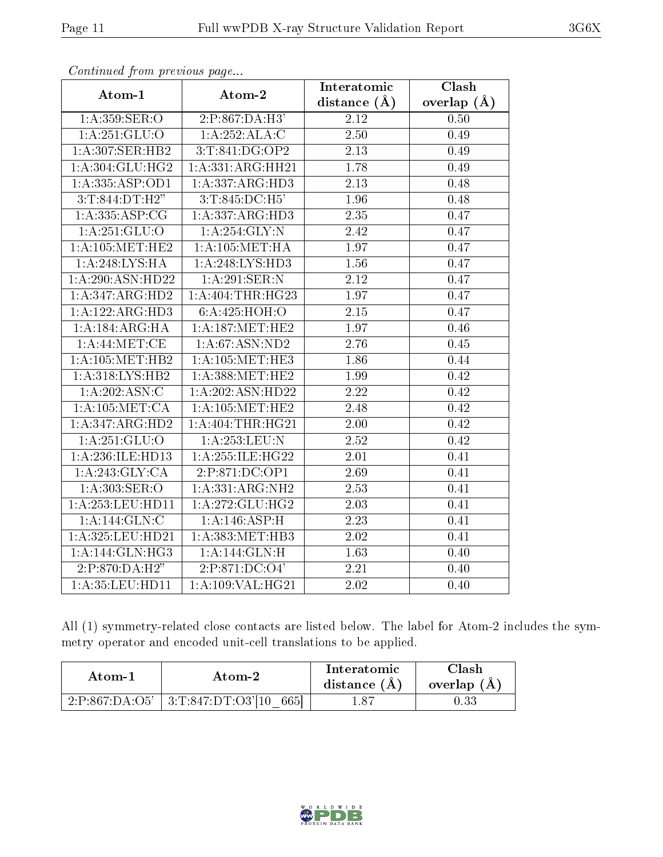| $\sum_{i=1}^{n}$                     |                     | Interatomic    | Clash         |
|--------------------------------------|---------------------|----------------|---------------|
| Atom-1                               | Atom-2              | distance $(A)$ | overlap $(A)$ |
| 1: A:359: SER:O                      | 2:P:867:DA:H3'      | 2.12           | 0.50          |
| 1: A:251: GLU:O                      | 1:A:252:ALA:C       | 2.50           | 0.49          |
| 1:A:307:SER:HB2                      | 3:T:841:DG:OP2      | 2.13           | 0.49          |
| 1: A:304: GLU: HG2                   | 1:A:331:ARG:HH21    | 1.78           | 0.49          |
| 1: A: 335: ASP: OD1                  | 1:A:337:ARG:HD3     | 2.13           | 0.48          |
| 3:T:844:DT:H2"                       | 3: T: 845: DC: H5'  | 1.96           | 0.48          |
| 1: A: 335: ASP: CG                   | 1:A:337:ARG:HD3     | 2.35           | 0.47          |
| 1: A:251: GLU:O                      | $1:$ A:254:GLY:N    | 2.42           | 0.47          |
| 1: A:105:MET:HE2                     | 1: A:105: MET:HA    | 1.97           | 0.47          |
| 1:A:248:LYS:HA                       | 1:A:248:LYS:HD3     | 1.56           | 0.47          |
| 1:A:290:ASN:HD22                     | 1: A:291:SER:N      | 2.12           | 0.47          |
| 1:A:347:ARG:HD2                      | 1:A:404:THR:HG23    | 1.97           | 0.47          |
| 1:A:122:ARG:HD3                      | 6: A:425:HOH:O      | 2.15           | 0.47          |
| 1:A:184:ARG:HA                       | 1: A:187: MET:HE2   | 1.97           | 0.46          |
| $1:A:44:\text{MET:CE}$               | 1: A:67: ASN:ND2    | 2.76           | 0.45          |
| 1: A: 105: MET: HB2                  | 1: A: 105: MET: HE3 | 1.86           | 0.44          |
| 1:A:318:LYS:HB2                      | 1: A:388:MET:HE2    | 1.99           | 0.42          |
| 1:A:202:ASN:C                        | 1:A:202:ASN:HD22    | 2.22           | 0.42          |
| 1: A:105: MET:CA                     | 1: A:105:MET:HE2    | 2.48           | 0.42          |
| 1:A:347:ARG:HD2                      | 1: A:404:THR:HG21   | 2.00           | 0.42          |
| 1: A:251: GLU:O                      | 1:A:253:LEU:N       | 2.52           | 0.42          |
| 1:A:236:ILE:HD13                     | 1:A:255:ILE:HG22    | 2.01           | 0.41          |
| 1:A:243:GLY:CA                       | 2:P:871:DC:OP1      | 2.69           | 0.41          |
| 1: A: 303: SER: O                    | 1:A:331:ARG:NH2     | 2.53           | 0.41          |
| 1:A:253:LEU:HD11                     | 1: A:272: GLU: HG2  | 2.03           | 0.41          |
| 1: A:144: GLN: C                     | 1: A:146: ASP:H     | 2.23           | 0.41          |
| $1:\overline{A}:325:\text{LEU}:HD21$ | 1:A:383:MET:HB3     | 2.02           | 0.41          |
| 1:A:144:GLN:HG3                      | 1:A:144:GLN:H       | 1.63           | 0.40          |
| 2:P:870:DA:H2"                       | 2:P:871:DC:O4'      | 2.21           | 0.40          |
| 1:A:35:LEU:HD11                      | 1:A:109:VAL:HG21    | 2.02           | 0.40          |

All (1) symmetry-related close contacts are listed below. The label for Atom-2 includes the symmetry operator and encoded unit-cell translations to be applied.

| Atom-2 |                                            | Interatomic    | Clash         |  |
|--------|--------------------------------------------|----------------|---------------|--|
| Atom-1 |                                            | distance $(A)$ | overlap $(A)$ |  |
|        | 2:P:867:DA:O5'   3:T:847:DT:O3'[10]<br>665 | .87            |               |  |

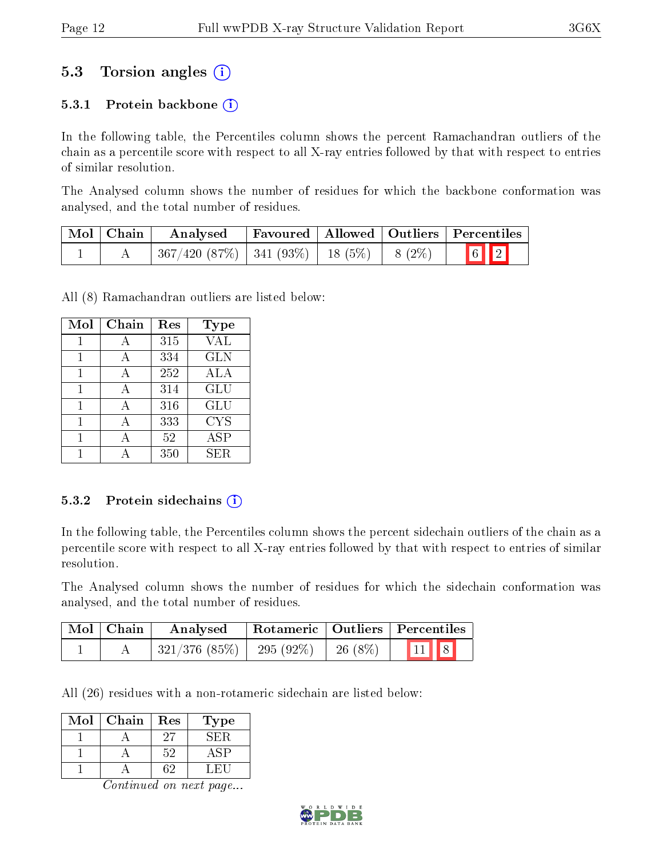### 5.3 Torsion angles (i)

#### 5.3.1 Protein backbone  $(i)$

In the following table, the Percentiles column shows the percent Ramachandran outliers of the chain as a percentile score with respect to all X-ray entries followed by that with respect to entries of similar resolution.

The Analysed column shows the number of residues for which the backbone conformation was analysed, and the total number of residues.

| Mol   Chain | Analysed                                                   |  | Favoured   Allowed   Outliers   Percentiles |
|-------------|------------------------------------------------------------|--|---------------------------------------------|
|             | $367/420$ $(87\%)$   341 $(93\%)$   18 $(5\%)$   8 $(2\%)$ |  | $\boxed{6}$ $\boxed{2}$                     |

All (8) Ramachandran outliers are listed below:

| Mol | Chain | Res | <b>Type</b> |
|-----|-------|-----|-------------|
|     | А     | 315 | <b>VAL</b>  |
| 1   | A     | 334 | <b>GLN</b>  |
| 1   | А     | 252 | ALA         |
| 1   | А     | 314 | GLU         |
| 1   | A     | 316 | GLU         |
| 1   | А     | 333 | <b>CYS</b>  |
|     | А     | 52  | ASP         |
|     |       | 350 | SER.        |

#### 5.3.2 Protein sidechains (i)

In the following table, the Percentiles column shows the percent sidechain outliers of the chain as a percentile score with respect to all X-ray entries followed by that with respect to entries of similar resolution.

The Analysed column shows the number of residues for which the sidechain conformation was analysed, and the total number of residues.

| $\mid$ Mol $\mid$ Chain $\mid$ | Analysed                                                    | Rotameric   Outliers   Percentiles |                          |  |
|--------------------------------|-------------------------------------------------------------|------------------------------------|--------------------------|--|
|                                | $\mid$ 321/376 (85%) $\mid$ 295 (92%) $\mid$ 26 (8%) $\mid$ |                                    | $\boxed{11}$ $\boxed{8}$ |  |

All (26) residues with a non-rotameric sidechain are listed below:

| Mol | Chain | Res | Type |
|-----|-------|-----|------|
|     |       | 27  | SER. |
|     |       | 52  |      |
|     |       |     | . н  |

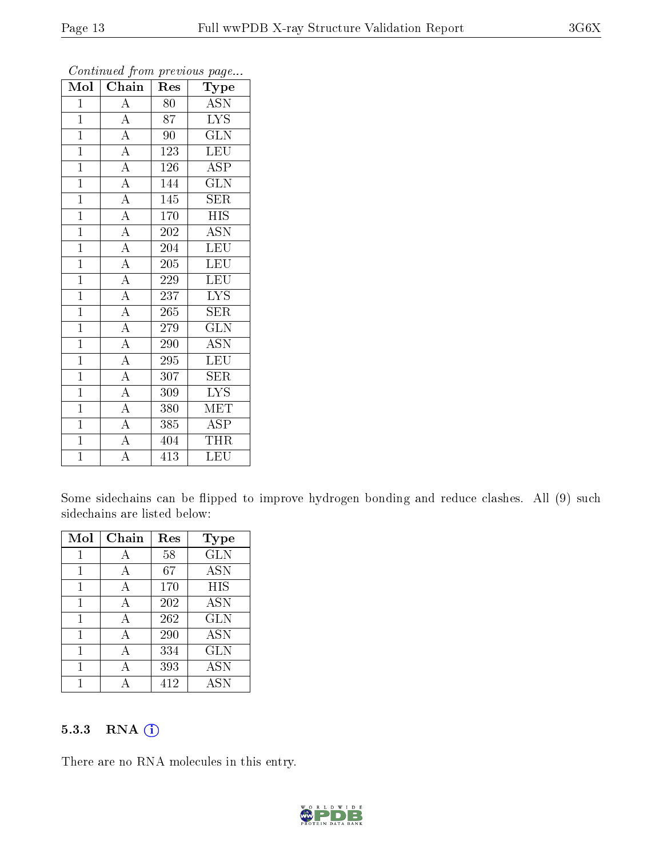| Mol            | Chain                               | Res | Type                           |
|----------------|-------------------------------------|-----|--------------------------------|
| $\mathbf 1$    | $\overline{\rm A}$                  | 80  | <b>ASN</b>                     |
| $\mathbf{1}$   | $\overline{\rm A}$                  | 87  | <b>LYS</b>                     |
| $\overline{1}$ | $\overline{A}$                      | 90  | $\overline{\text{GLN}}$        |
| $\overline{1}$ | $\overline{A}$                      | 123 | LEU                            |
| $\overline{1}$ | $\overline{A}$                      | 126 | $\overline{\text{ASP}}$        |
| $\mathbf{1}$   | $\overline{A}$                      | 144 | <b>GLN</b>                     |
| $\mathbf{1}$   | $\overline{A}$                      | 145 | $\rm{SER}$                     |
| $\overline{1}$ | $\frac{1}{\underline{A}}$           | 170 | $\overline{HIS}$               |
| $\overline{1}$ | $\overline{A}$                      | 202 | $\overline{\text{ASN}}$        |
| $\mathbf{1}$   | $\overline{A}$                      | 204 | LEU                            |
| $\mathbf{1}$   | $\overline{A}$                      | 205 | <b>LEU</b>                     |
| $\overline{1}$ | $\overline{A}$                      | 229 | <b>LEU</b>                     |
| $\overline{1}$ | $\overline{A}$                      | 237 | <b>LYS</b>                     |
| $\mathbf{1}$   | $\overline{A}$                      | 265 | $\rm{SER}$                     |
| $\mathbf{1}$   | $\overline{A}$                      | 279 | $\overline{\text{GLN}}$        |
| $\mathbf{1}$   | $\frac{\overline{A}}{\overline{A}}$ | 290 | <b>ASN</b>                     |
| $\overline{1}$ |                                     | 295 | LEU                            |
| $\overline{1}$ | $\overline{A}$                      | 307 | $\overline{\text{SER}}$        |
| $\overline{1}$ | $\overline{A}$                      | 309 | <b>LYS</b>                     |
| $\overline{1}$ | $\overline{A}$                      | 380 | <b>MET</b>                     |
| $\overline{1}$ | $\overline{A}$                      | 385 | <b>ASP</b>                     |
| $\overline{1}$ | $\overline{A}$                      | 404 | $\overline{\text{T}}\text{HR}$ |
| $\overline{1}$ | $\overline{\rm A}$                  | 413 | LEU                            |

Some sidechains can be flipped to improve hydrogen bonding and reduce clashes. All (9) such sidechains are listed below:

| Mol | Chain | Res | Type       |
|-----|-------|-----|------------|
|     | А     | 58  | <b>GLN</b> |
| 1   | А     | 67  | <b>ASN</b> |
| 1   | А     | 170 | HIS        |
| 1   | А     | 202 | <b>ASN</b> |
| 1   | Α     | 262 | <b>GLN</b> |
| 1   | А     | 290 | <b>ASN</b> |
| 1   | А     | 334 | <b>GLN</b> |
| 1   | А     | 393 | <b>ASN</b> |
|     |       | 412 | <b>ASN</b> |

#### 5.3.3 RNA [O](https://www.wwpdb.org/validation/2017/XrayValidationReportHelp#rna)i

There are no RNA molecules in this entry.

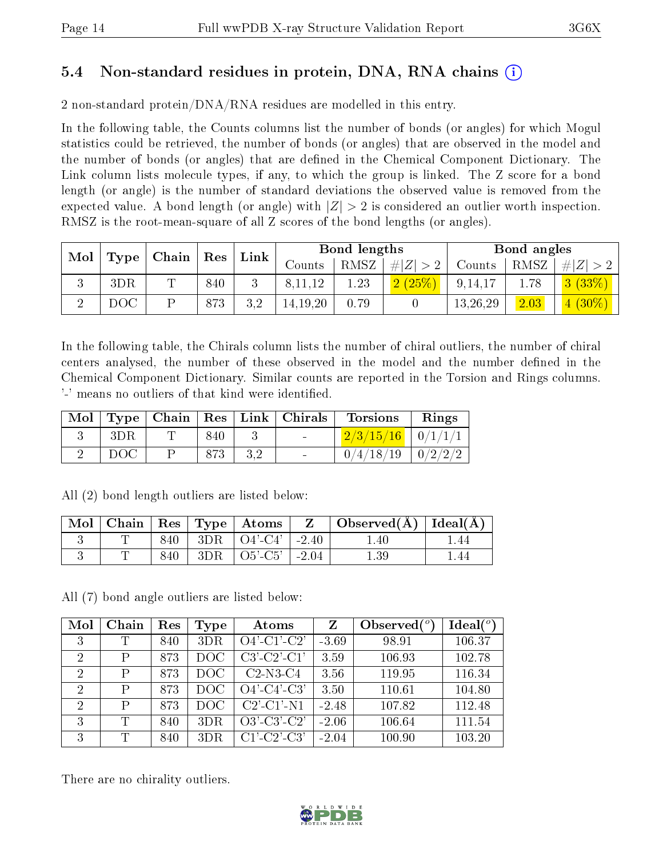### 5.4 Non-standard residues in protein, DNA, RNA chains (i)

2 non-standard protein/DNA/RNA residues are modelled in this entry.

In the following table, the Counts columns list the number of bonds (or angles) for which Mogul statistics could be retrieved, the number of bonds (or angles) that are observed in the model and the number of bonds (or angles) that are dened in the Chemical Component Dictionary. The Link column lists molecule types, if any, to which the group is linked. The Z score for a bond length (or angle) is the number of standard deviations the observed value is removed from the expected value. A bond length (or angle) with  $|Z| > 2$  is considered an outlier worth inspection. RMSZ is the root-mean-square of all Z scores of the bond lengths (or angles).

| Mol | $\mid$ Type $\mid$ Chain $\mid$ Res $\mid$ |   |     | $^{\shortmid}$ Link |               | Bond lengths |           | Bond angles |      |             |
|-----|--------------------------------------------|---|-----|---------------------|---------------|--------------|-----------|-------------|------|-------------|
|     |                                            |   |     |                     | $\rm{Counts}$ | RMSZ         | $\# Z >2$ | Counts      | RMSZ | # $ Z  > 2$ |
| U   | 3DR                                        | m | 840 |                     | 8, 11, 12     | 1.23         | 2(25%)    | 9,14,17     | 1.78 | 3(33%)      |
|     | DOC                                        |   | 873 | 3.2                 | 14, 19, 20    | 0.79         |           | 13,26,29    | 2.03 | $4(30\%)$   |

In the following table, the Chirals column lists the number of chiral outliers, the number of chiral centers analysed, the number of these observed in the model and the number defined in the Chemical Component Dictionary. Similar counts are reported in the Torsion and Rings columns. '-' means no outliers of that kind were identified.

|      |             |                          | Mol   Type   Chain   Res   Link   Chirals   Torsions   Rings |  |
|------|-------------|--------------------------|--------------------------------------------------------------|--|
| -3DR | 840         | <b>Contract Contract</b> | $\frac{2}{3}\frac{15}{16}$   0/1/1/1                         |  |
| DOC  | $873$ $3.2$ | $\sim$ 100 $\mu$         | $0/4/18/19$   $0/2/2/2$                                      |  |

|  |  | Mol   Chain   Res   Type   Atoms | $\overline{\phantom{a}}$ $\overline{\phantom{a}}$ $\overline{\phantom{a}}$ $\overline{\phantom{a}}$ $\overline{\phantom{a}}$ $\overline{\phantom{a}}$ $\overline{\phantom{a}}$ $\overline{\phantom{a}}$ $\overline{\phantom{a}}$ $\overline{\phantom{a}}$ $\overline{\phantom{a}}$ $\overline{\phantom{a}}$ $\overline{\phantom{a}}$ $\overline{\phantom{a}}$ $\overline{\phantom{a}}$ $\overline{\phantom{a}}$ $\overline{\phantom{a}}$ $\overline{\phantom{a}}$ $\overline{\$ | $\vert$ Observed( $\rm \AA$ ) $\vert$ Ideal( $\rm \AA$ ) $\vert$ |     |
|--|--|----------------------------------|---------------------------------------------------------------------------------------------------------------------------------------------------------------------------------------------------------------------------------------------------------------------------------------------------------------------------------------------------------------------------------------------------------------------------------------------------------------------------------|------------------------------------------------------------------|-----|
|  |  | $840$   3DR   O4'-C4'   -2.40    |                                                                                                                                                                                                                                                                                                                                                                                                                                                                                 | $1.40 -$                                                         | .44 |
|  |  | $840$   3DR   O5'-C5'   -2.04    |                                                                                                                                                                                                                                                                                                                                                                                                                                                                                 | $1.39\,$                                                         | 44  |

All (2) bond length outliers are listed below:

All (7) bond angle outliers are listed below:

| Mol            | Chain  | Res | <b>Type</b> | Atoms                 | Z       | Observed $(°)$ | Ideal(°) |
|----------------|--------|-----|-------------|-----------------------|---------|----------------|----------|
| 3              | T      | 840 | 3DR         | $O4'$ -C1'-C2'        | $-3.69$ | 98.91          | 106.37   |
| 2              | P      | 873 | DOC         | $C3'-C2'-C1'$         | 3.59    | 106.93         | 102.78   |
| $\overline{2}$ | P      | 873 | DOC.        | $C2-N3-C4$            | 3.56    | 119.95         | 116.34   |
| $\overline{2}$ | P      | 873 | DOC.        | $O4'$ -C4'-C3'        | 3.50    | 110.61         | 104.80   |
| 2              | P      | 873 | DOC         | $C2'$ - $C1'$ - $N1$  | $-2.48$ | 107.82         | 112.48   |
| 3              | $\top$ | 840 | 3DR         | $O3'-C3'-C2'$         | $-2.06$ | 106.64         | 111.54   |
| 3              | T      | 840 | 3DR         | $C1'$ - $C2'$ - $C3'$ | $-2.04$ | 100.90         | 103.20   |

There are no chirality outliers.

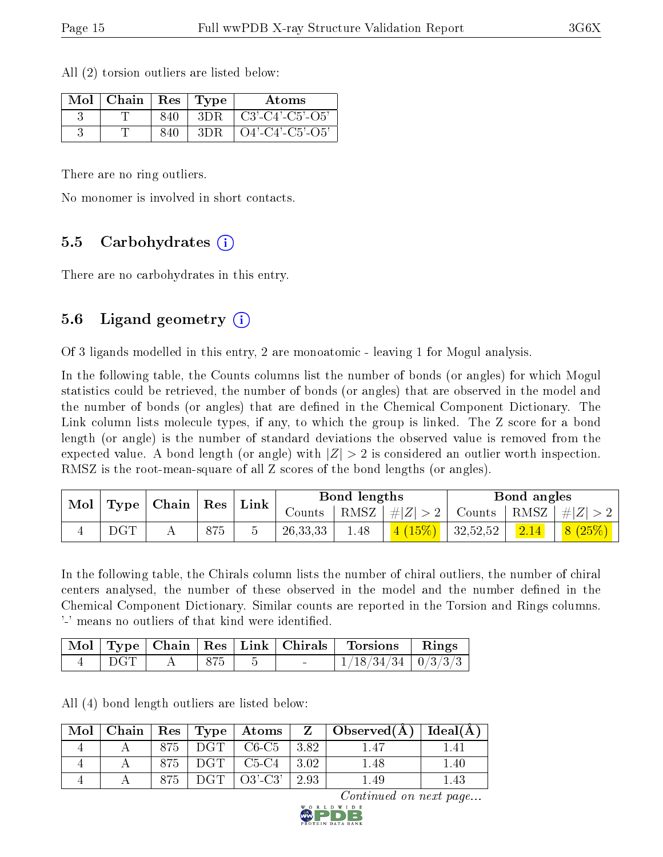| Mol | Chain | Res | 'Type | Atoms                         |
|-----|-------|-----|-------|-------------------------------|
|     |       | 840 | 3DR   | $C3'$ - $C4'$ - $C5'$ - $O5'$ |
|     |       | 840 | 3DR   | $O4'$ -C4'-C5'-O5'            |

All (2) torsion outliers are listed below:

There are no ring outliers.

No monomer is involved in short contacts.

#### 5.5 Carbohydrates (i)

There are no carbohydrates in this entry.

### 5.6 Ligand geometry (i)

Of 3 ligands modelled in this entry, 2 are monoatomic - leaving 1 for Mogul analysis.

In the following table, the Counts columns list the number of bonds (or angles) for which Mogul statistics could be retrieved, the number of bonds (or angles) that are observed in the model and the number of bonds (or angles) that are dened in the Chemical Component Dictionary. The Link column lists molecule types, if any, to which the group is linked. The Z score for a bond length (or angle) is the number of standard deviations the observed value is removed from the expected value. A bond length (or angle) with  $|Z| > 2$  is considered an outlier worth inspection. RMSZ is the root-mean-square of all Z scores of the bond lengths (or angles).

| $\mid$ Mol $\mid$ Type $\mid$ Chain $\mid$ Res $\mid$ Link $\mid$ |              |  |     |            | Bond lengths |                           | Bond angles |  |                                                                              |
|-------------------------------------------------------------------|--------------|--|-----|------------|--------------|---------------------------|-------------|--|------------------------------------------------------------------------------|
|                                                                   |              |  |     | Counts     |              |                           |             |  | $\mid$ RMSZ $\mid \#  Z  > 2 \mid$ Counts $\mid$ RMSZ $\mid \#  Z  > 2 \mid$ |
|                                                                   | $_{\rm DGT}$ |  | 875 | 26, 33, 33 | 1.48         | $\mid$ 4 (15%)   32,52,52 |             |  | $\begin{array}{ c c c c c }\hline 2.14 & \& 8 (25\% )\hline \end{array}$     |

In the following table, the Chirals column lists the number of chiral outliers, the number of chiral centers analysed, the number of these observed in the model and the number defined in the Chemical Component Dictionary. Similar counts are reported in the Torsion and Rings columns. '-' means no outliers of that kind were identified.

|      |      |  | Mol   Type   Chain   Res   Link   Chirals   Torsions   Rings |  |
|------|------|--|--------------------------------------------------------------|--|
| DGT. | 875. |  | $1/18/34/34$   $0/3/3/3$                                     |  |

All (4) bond length outliers are listed below:

| Mol |     |     |                                             |                    | Chain   Res   Type   Atoms   Z   Observed( $\AA$ )   Ideal( $\AA$ ) |      |
|-----|-----|-----|---------------------------------------------|--------------------|---------------------------------------------------------------------|------|
|     | 875 | DGT | $\vert$ C6-C5 $\vert$                       | 3.82               | 1.47                                                                | 1.41 |
|     | 875 | DGT | $\mid$ C <sub>5</sub> -C <sub>4</sub>       | $\vert 3.02 \vert$ | 1.48                                                                | 1.40 |
|     | 875 | DGT | $\Omega$ <sup>'</sup> $\Omega$ <sup>'</sup> | 2.93               | .49                                                                 | 43.ء |

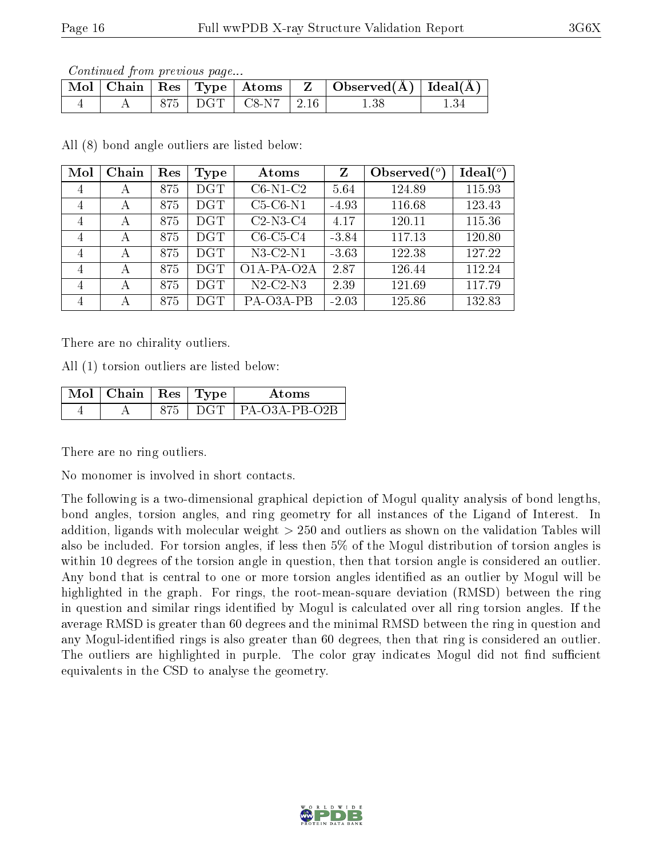Continued from previous page...

|  |  |                            | $\mid$ Mol $\mid$ Chain $\mid$ Res $\mid$ Type $\mid$ Atoms $\mid$ Z $\mid$ Observed(A) $\mid$ Ideal(A) |  |
|--|--|----------------------------|---------------------------------------------------------------------------------------------------------|--|
|  |  | $875$   DGT   C8-N7   2.16 |                                                                                                         |  |

All (8) bond angle outliers are listed below:

| Mol            | Chain | Res | Type       | Atoms          | Z       | Observed $\binom{o}{c}$ | Ideal $(°)$ |
|----------------|-------|-----|------------|----------------|---------|-------------------------|-------------|
| 4              | А     | 875 | <b>DGT</b> | $C6-N1-C2$     | 5.64    | 124.89                  | 115.93      |
| $\overline{4}$ | А     | 875 | DGT        | $C5-C6-N1$     | $-4.93$ | 116.68                  | 123.43      |
| 4              | А     | 875 | DGT        | $C2-N3-C4$     | 4.17    | 120.11                  | 115.36      |
| $\overline{4}$ | А     | 875 | DGT        | $C6-C5-C4$     | $-3.84$ | 117.13                  | 120.80      |
| $\overline{4}$ | А     | 875 | DGT        | $N3-C2-N1$     | $-3.63$ | 122.38                  | 127.22      |
| $\overline{4}$ | А     | 875 | <b>DGT</b> | O1A-PA-O2A     | 2.87    | 126.44                  | 112.24      |
| 4              | А     | 875 | <b>DGT</b> | $N2$ -C2- $N3$ | 2.39    | 121.69                  | 117.79      |
| 4              | А     | 875 | $\rm DGT$  | PA-O3A-PB      | $-2.03$ | 125.86                  | 132.83      |

There are no chirality outliers.

All (1) torsion outliers are listed below:

| $\Box$ Mol $\vert$ Chain $\vert$ Res $\vert$ Type |     | Atoms                 |
|---------------------------------------------------|-----|-----------------------|
|                                                   | DGT | $\perp$ PA-O3A-PB-O2B |

There are no ring outliers.

No monomer is involved in short contacts.

The following is a two-dimensional graphical depiction of Mogul quality analysis of bond lengths, bond angles, torsion angles, and ring geometry for all instances of the Ligand of Interest. In addition, ligands with molecular weight > 250 and outliers as shown on the validation Tables will also be included. For torsion angles, if less then 5% of the Mogul distribution of torsion angles is within 10 degrees of the torsion angle in question, then that torsion angle is considered an outlier. Any bond that is central to one or more torsion angles identified as an outlier by Mogul will be highlighted in the graph. For rings, the root-mean-square deviation (RMSD) between the ring in question and similar rings identified by Mogul is calculated over all ring torsion angles. If the average RMSD is greater than 60 degrees and the minimal RMSD between the ring in question and any Mogul-identified rings is also greater than 60 degrees, then that ring is considered an outlier. The outliers are highlighted in purple. The color gray indicates Mogul did not find sufficient equivalents in the CSD to analyse the geometry.

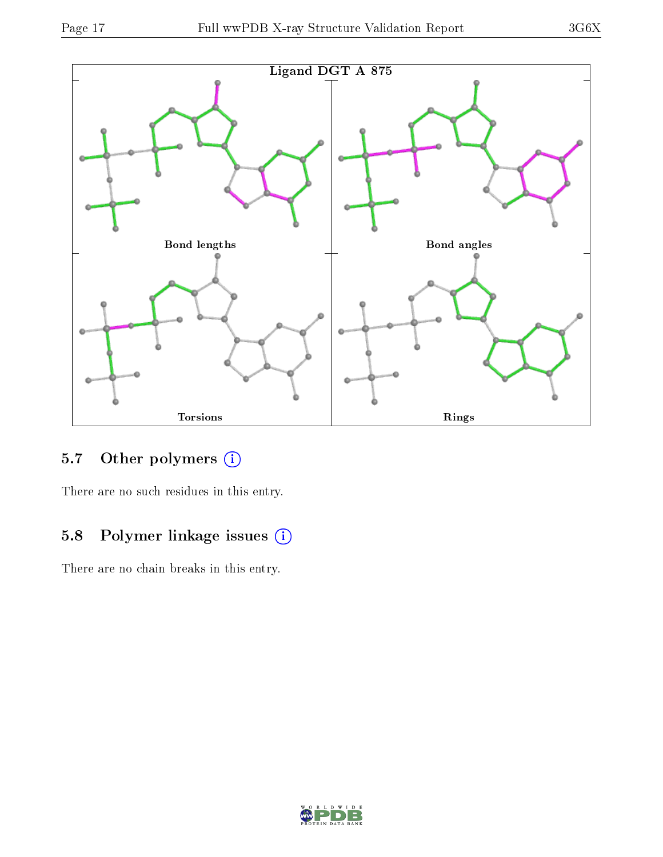



### 5.7 [O](https://www.wwpdb.org/validation/2017/XrayValidationReportHelp#nonstandard_residues_and_ligands)ther polymers (i)

There are no such residues in this entry.

## 5.8 Polymer linkage issues (i)

There are no chain breaks in this entry.

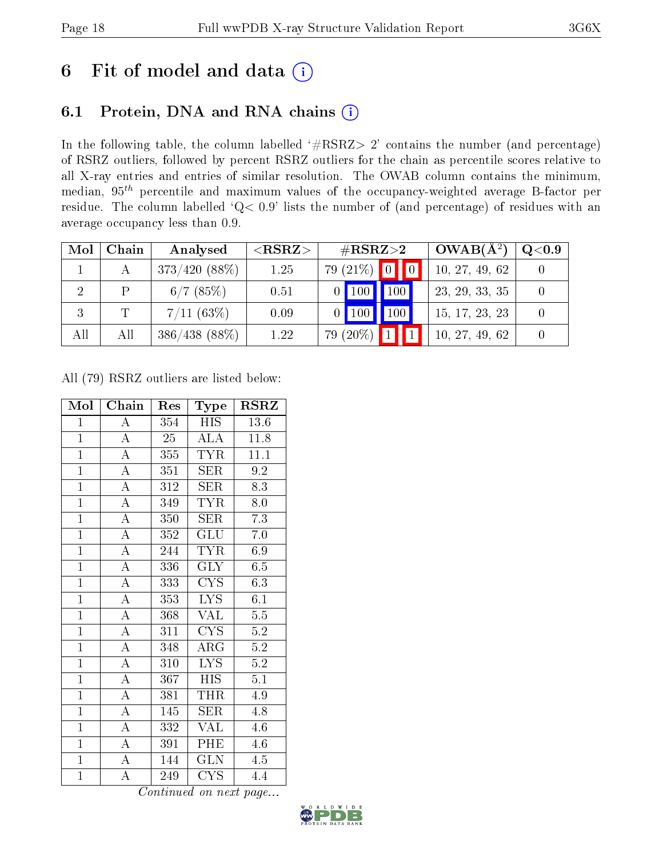# 6 Fit of model and data  $(i)$

## 6.1 Protein, DNA and RNA chains  $(i)$

In the following table, the column labelled  $#RSRZ> 2'$  contains the number (and percentage) of RSRZ outliers, followed by percent RSRZ outliers for the chain as percentile scores relative to all X-ray entries and entries of similar resolution. The OWAB column contains the minimum, median,  $95<sup>th</sup>$  percentile and maximum values of the occupancy-weighted average B-factor per residue. The column labelled ' $Q< 0.9$ ' lists the number of (and percentage) of residues with an average occupancy less than 0.9.

| Mol | Chain | Analysed        | ${ <\hspace{-1.5pt}{\mathrm{RSRZ}} \hspace{-1.5pt}>}$ | $\#\text{RSRZ}{>}2$                                      | $OWAB(A^2)$    | $\rm Q\textcolor{black}{<}0.9$ |
|-----|-------|-----------------|-------------------------------------------------------|----------------------------------------------------------|----------------|--------------------------------|
|     |       | $373/420(88\%)$ | 1.25                                                  | $79(21\%)$ 0                                             | 10, 27, 49, 62 |                                |
|     | P     | $6/7$ (85%)     | 0.51                                                  | $\parallel$ 100<br>$\triangle$ 100 $\blacktriangleright$ | 23, 29, 33, 35 |                                |
|     |       | $7/11~(63\%)$   | 0.09                                                  | $\vert$ 100 $\vert$<br>$0$   100                         | 15, 17, 23, 23 |                                |
| All | All   | $386/438$ (88%) | 1.22                                                  | 79 (20%)                                                 | 10, 27, 49, 62 |                                |

All (79) RSRZ outliers are listed below:

| Mol            | Chain              | Res              | Type                    | <b>RSRZ</b>      |
|----------------|--------------------|------------------|-------------------------|------------------|
| $\mathbf{1}$   | A                  | 354              | <b>HIS</b>              | 13.6             |
| $\overline{1}$ | $\overline{A}$     | $\overline{25}$  | ALA                     | 11.8             |
| $\overline{1}$ | $\overline{\rm A}$ | 355              | <b>TYR</b>              | 11.1             |
| $\overline{1}$ | $\overline{A}$     | 351              | SER                     | 9.2              |
| $\mathbf{1}$   | $\overline{\rm A}$ | 312              | SER                     | 8.3              |
| $\overline{1}$ | $\overline{A}$     | 349              | <b>TYR</b>              | 8.0              |
| $\overline{1}$ | $\overline{\rm A}$ | 350              | <b>SER</b>              | 7.3              |
| $\overline{1}$ | $\overline{\rm A}$ | 352              | GLU                     | 7.0              |
| $\overline{1}$ | $\overline{\rm A}$ | 244              | <b>TYR</b>              | 6.9              |
| $\mathbf{1}$   | $\overline{\rm A}$ | 336              | <b>GLY</b>              | 6.5              |
| $\overline{1}$ | $\overline{A}$     | 333              | $\overline{\text{CYS}}$ | 6.3              |
| $\mathbf{1}$   | $\overline{\rm A}$ | 353              | LYS.                    | 6.1              |
| $\overline{1}$ | $\overline{\rm A}$ | 368              | <b>VAL</b>              | $\overline{5.5}$ |
| $\overline{1}$ | $\overline{\rm A}$ | $31\overline{1}$ | $\overline{\text{CYS}}$ | $\overline{5.2}$ |
| $\overline{1}$ | $\overline{\rm A}$ | 348              | $\rm{ARG}$              | $\overline{5.2}$ |
| $\overline{1}$ | $\overline{\rm A}$ | $\overline{310}$ | $\overline{\text{LYS}}$ | $\overline{5.2}$ |
| $\overline{1}$ | $\overline{\rm A}$ | 367              | <b>HIS</b>              | 5.1              |
| $\overline{1}$ | $\overline{A}$     | 381              | THR                     | 4.9              |
| $\overline{1}$ | $\overline{\rm A}$ | 145              | <b>SER</b>              | 4.8              |
| $\mathbf{1}$   | $\mathbf A$        | 332              | <b>VAL</b>              | 4.6              |
| $\overline{1}$ | $\overline{A}$     | 391              | PHE                     | 4.6              |
| $\overline{1}$ | $\overline{\rm A}$ | 144              | <b>GLN</b>              | 4.5              |
| $\overline{1}$ | А                  | 249              | <b>CYS</b>              | 4.4              |

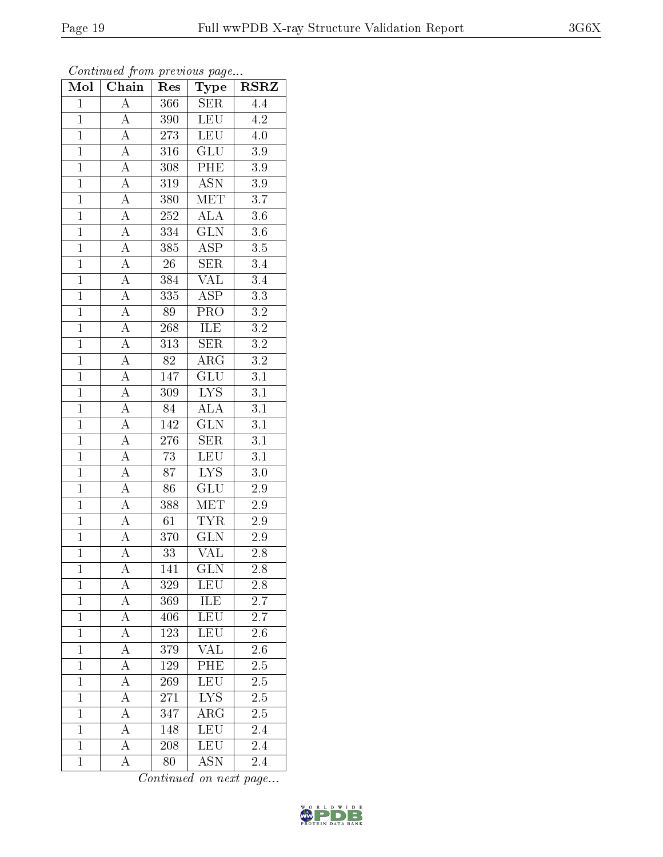| Mol            | $\overline{\text{C}}$ hain | Res             | Type                            | <b>RSRZ</b>      |
|----------------|----------------------------|-----------------|---------------------------------|------------------|
| $\mathbf{1}$   | A                          | 366             | <b>SER</b>                      | 4.4              |
| $\overline{1}$ | $\boldsymbol{A}$           | 390             | LEU                             | 4.2              |
| $\overline{1}$ | $\overline{\rm A}$         | 273             | <b>LEU</b>                      | 4.0              |
| $\overline{1}$ | $\overline{\rm A}$         | 316             | $\overline{\text{GLU}}$         | $\overline{3.9}$ |
| $\overline{1}$ | $\overline{A}$             | 308             | PHE                             | $\overline{3.9}$ |
| $\mathbf{1}$   | $\boldsymbol{A}$           | 319             | $\overline{ASN}$                | 3.9              |
| $\mathbf{1}$   | $\overline{A}$             | 380             | $\overline{\text{MET}}$         | 3.7              |
| $\overline{1}$ | $\overline{A}$             | $252\,$         | <b>ALA</b>                      | 3.6              |
| $\overline{1}$ | $\overline{A}$             | 334             | $\overline{\text{GLN}}$         | $3.6\,$          |
| $\overline{1}$ | $\overline{A}$             | 385             | $\overline{\text{ASP}}$         | $\overline{3.5}$ |
| $\mathbf{1}$   | $\overline{A}$             | $26\,$          | SER                             | $3.4\,$          |
| $\overline{1}$ | $\overline{A}$             | 384             | $\overline{\text{VAL}}$         | $\overline{3.4}$ |
| $\overline{1}$ | $\overline{A}$             | 335             | <b>ASP</b>                      | $\overline{3.3}$ |
| $\overline{1}$ | $\overline{A}$             | 89              | PRO                             | $\overline{3.2}$ |
| $\overline{1}$ | $\overline{A}$             | 268             | ILE                             | $\overline{3.2}$ |
| $\mathbf{1}$   | $\overline{A}$             | 313             | <b>SER</b>                      | $3.2\,$          |
| $\overline{1}$ | $\overline{A}$             | $\overline{82}$ | $\overline{\text{ARG}}$         | $\overline{3.2}$ |
| $\overline{1}$ | $\overline{\rm A}$         | 147             | GLU                             | $\overline{3.1}$ |
| $\overline{1}$ | $\rm A$                    | 309             | $\overline{\text{L} \text{YS}}$ | $\overline{3.1}$ |
| $\overline{1}$ | $\overline{A}$             | 84              | ALA                             | $\overline{3.1}$ |
| $\overline{1}$ | $\overline{A}$             | 142             | $\overline{\text{GLN}}$         | $\overline{3.1}$ |
| $\overline{1}$ | $\overline{A}$             | 276             | <b>SER</b>                      | $\overline{3.1}$ |
| $\overline{1}$ | $\boldsymbol{A}$           | $\overline{73}$ | <b>LEU</b>                      | 3.1              |
| $\overline{1}$ | $\overline{\rm A}$         | $\overline{87}$ | $\overline{\text{LYS}}$         | 3.0              |
| $\overline{1}$ | $\overline{A}$             | 86              | $\overline{\text{GLU}}$         | $2.9\,$          |
| $\mathbf{1}$   | $\boldsymbol{A}$           | 388             | <b>MET</b>                      | 2.9              |
| $\overline{1}$ | $\overline{A}$             | 61              | <b>TYR</b>                      | 2.9              |
| $\overline{1}$ | $\overline{\rm A}$         | 370             | $\overline{\text{GLN}}$         | 2.9              |
| $\overline{1}$ | $\overline{\rm A}$         | $\overline{33}$ | $\overline{\text{VAL}}$         | 2.8              |
| $\mathbf{1}$   | А                          | 141             | <b>GLN</b>                      | 2.8              |
| $\mathbf{1}$   | A                          | 329             | LEU                             | 2.8              |
| $\mathbf{1}$   | $\overline{\rm A}$         | 369             | ILE                             | 2.7              |
| $\mathbf{1}$   | $\overline{\rm A}$         | 406             | <b>LEU</b>                      | 2.7              |
| $\mathbf{1}$   | $\overline{\rm A}$         | 123             | <b>LEU</b>                      | $\overline{2.6}$ |
| $\mathbf 1$    | $\boldsymbol{A}$           | 379             | <b>VAL</b>                      | 2.6              |
| $\mathbf{1}$   | $\overline{\rm A}$         | 129             | PHE                             | $2.\overline{5}$ |
| $\mathbf 1$    | A                          | 269             | <b>LEU</b>                      | $2.\overline{5}$ |
| $\overline{1}$ | A                          | 271             | <b>LYS</b>                      | 2.5              |
| $\mathbf{1}$   | А                          | 347             | ${\rm ARG}$                     | 2.5              |
| $\mathbf{1}$   | $\boldsymbol{A}$           | 148             | <b>LEU</b>                      | 2.4              |
| $\mathbf{1}$   | $\boldsymbol{A}$           | 208             | <b>LEU</b>                      | 2.4              |
| $\mathbf{1}$   | A                          | 80              | <b>ASN</b>                      | 2.4              |

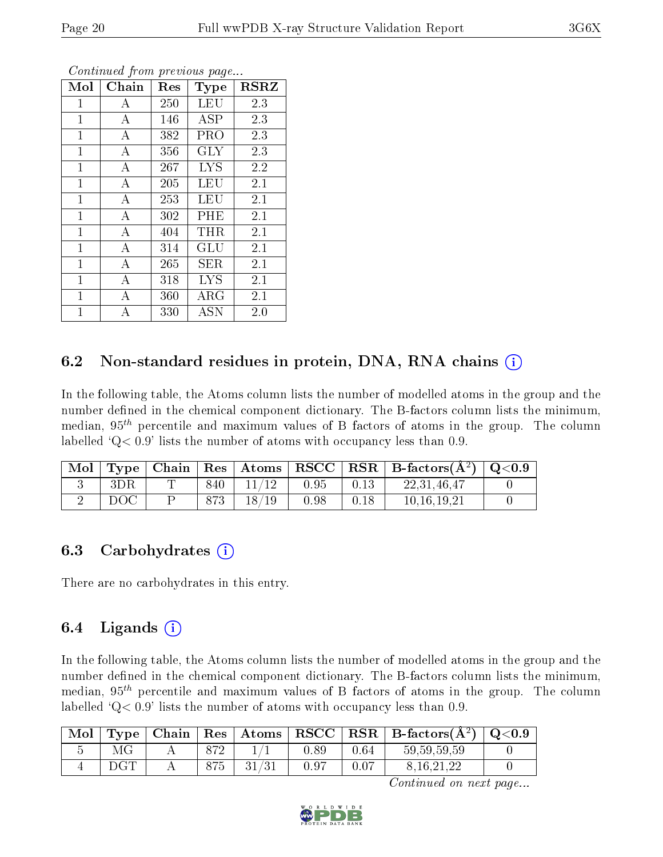| Mol          | Chain          | $\operatorname{Res}% \left( \mathcal{N}\right) \equiv\operatorname{Res}(\mathcal{N}_{0})\cap\mathcal{N}_{1}$ | <b>Type</b>          | <b>RSRZ</b> |
|--------------|----------------|--------------------------------------------------------------------------------------------------------------|----------------------|-------------|
| 1            | А              | 250                                                                                                          | LEU                  | 2.3         |
| 1            | А              | 146                                                                                                          | <b>ASP</b>           | 2.3         |
| $\mathbf{1}$ | А              | 382                                                                                                          | PRO                  | 2.3         |
| $\mathbf{1}$ | А              | 356                                                                                                          | <b>GLY</b>           | 2.3         |
| $\mathbf{1}$ | А              | 267                                                                                                          | <b>LYS</b>           | 2.2         |
| $\mathbf{1}$ | А              | 205                                                                                                          | LEU                  | 2.1         |
| $\mathbf{1}$ | А              | 253                                                                                                          | LEU                  | 2.1         |
| $\mathbf{1}$ | $\overline{A}$ | 302                                                                                                          | PHE                  | 2.1         |
| $\mathbf{1}$ | А              | 404                                                                                                          | THR.                 | 2.1         |
| $\mathbf{1}$ | А              | 314                                                                                                          | $\operatorname{GLU}$ | 2.1         |
| $\mathbf{1}$ | А              | 265                                                                                                          | SER                  | 2.1         |
| $\mathbf{1}$ | А              | 318                                                                                                          | <b>LYS</b>           | 2.1         |
| $\mathbf{1}$ | А              | 360                                                                                                          | ${\rm ARG}$          | 2.1         |
| $\mathbf 1$  | А              | 330                                                                                                          | ASN                  | 2.0         |

### 6.2 Non-standard residues in protein, DNA, RNA chains  $(i)$

In the following table, the Atoms column lists the number of modelled atoms in the group and the number defined in the chemical component dictionary. The B-factors column lists the minimum, median,  $95<sup>th</sup>$  percentile and maximum values of B factors of atoms in the group. The column labelled  $Q< 0.9$ ' lists the number of atoms with occupancy less than 0.9.

| Mol |     |     |       |      |      | $\langle$ Type   Chain   Res   Atoms   RSCC   RSR   B-factors $(A^2)$   Q<0.9 |  |
|-----|-----|-----|-------|------|------|-------------------------------------------------------------------------------|--|
|     |     | 840 |       | 0.95 | 0.13 | 22.31.46.47                                                                   |  |
|     | DOC |     | 18/19 | 0.98 | 0.18 | 10.16.19.21                                                                   |  |

#### 6.3 Carbohydrates  $(i)$

There are no carbohydrates in this entry.

### 6.4 Ligands  $(i)$

In the following table, the Atoms column lists the number of modelled atoms in the group and the number defined in the chemical component dictionary. The B-factors column lists the minimum, median,  $95<sup>th</sup>$  percentile and maximum values of B factors of atoms in the group. The column labelled  $Q< 0.9$  lists the number of atoms with occupancy less than 0.9.

| Mol | Type |     |       |      |      | $\mid$ Chain $\mid$ Res $\mid$ Atoms $\mid$ RSCC $\mid$ RSR $\mid$ B-factors(A <sup>2</sup> ) $\mid$ | $\mid$ Q<0.9 |
|-----|------|-----|-------|------|------|------------------------------------------------------------------------------------------------------|--------------|
|     |      | 879 |       | 0.89 | 0.64 | 59, 59, 59, 59                                                                                       |              |
|     |      | 875 | 31/31 | 0.97 | 0.07 | 8.16.21.22                                                                                           |              |